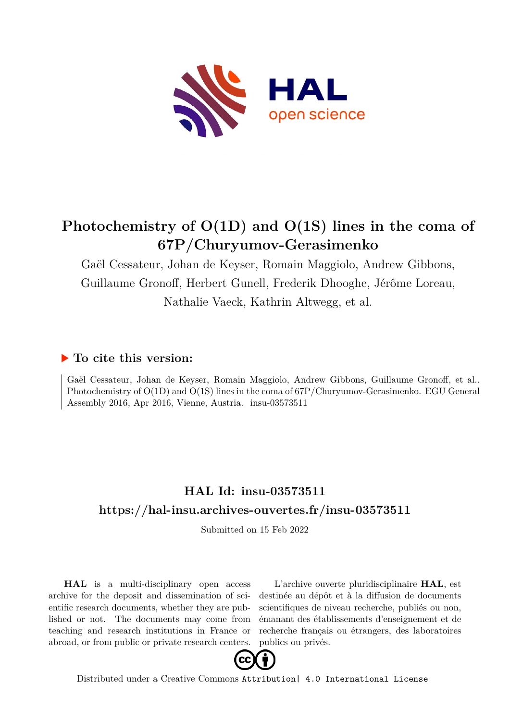

## **Photochemistry of O(1D) and O(1S) lines in the coma of 67P/Churyumov-Gerasimenko**

Gaël Cessateur, Johan de Keyser, Romain Maggiolo, Andrew Gibbons, Guillaume Gronoff, Herbert Gunell, Frederik Dhooghe, Jérôme Loreau, Nathalie Vaeck, Kathrin Altwegg, et al.

## **To cite this version:**

Gaël Cessateur, Johan de Keyser, Romain Maggiolo, Andrew Gibbons, Guillaume Gronoff, et al.. Photochemistry of O(1D) and O(1S) lines in the coma of 67P/Churyumov-Gerasimenko. EGU General Assembly 2016, Apr 2016, Vienne, Austria. insu-03573511

## **HAL Id: insu-03573511 <https://hal-insu.archives-ouvertes.fr/insu-03573511>**

Submitted on 15 Feb 2022

**HAL** is a multi-disciplinary open access archive for the deposit and dissemination of scientific research documents, whether they are published or not. The documents may come from teaching and research institutions in France or abroad, or from public or private research centers.

L'archive ouverte pluridisciplinaire **HAL**, est destinée au dépôt et à la diffusion de documents scientifiques de niveau recherche, publiés ou non, émanant des établissements d'enseignement et de recherche français ou étrangers, des laboratoires publics ou privés.



Distributed under a Creative Commons [Attribution| 4.0 International License](http://creativecommons.org/licenses/by/4.0/)